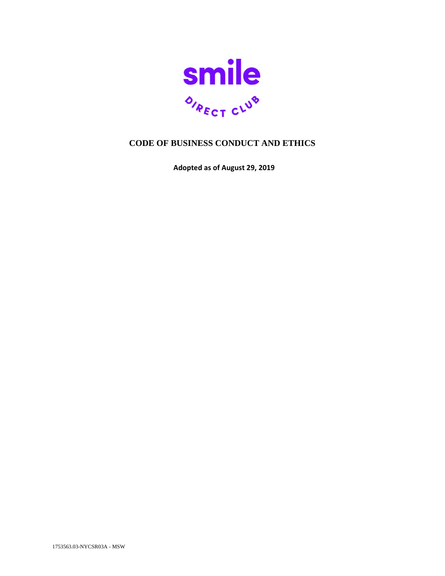

# **CODE OF BUSINESS CONDUCT AND ETHICS**

**Adopted as of August 29, 2019**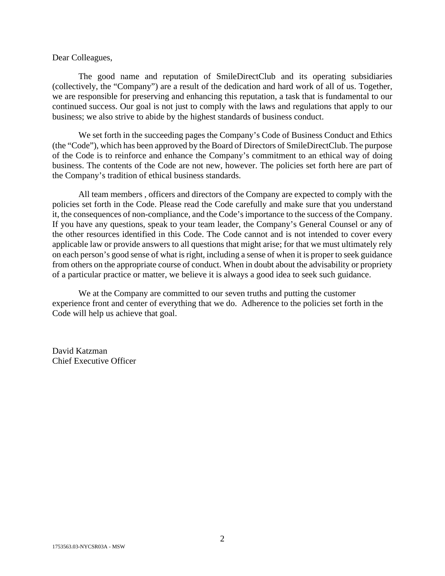#### Dear Colleagues,

The good name and reputation of SmileDirectClub and its operating subsidiaries (collectively, the "Company") are a result of the dedication and hard work of all of us. Together, we are responsible for preserving and enhancing this reputation, a task that is fundamental to our continued success. Our goal is not just to comply with the laws and regulations that apply to our business; we also strive to abide by the highest standards of business conduct.

We set forth in the succeeding pages the Company's Code of Business Conduct and Ethics (the "Code"), which has been approved by the Board of Directors of SmileDirectClub. The purpose of the Code is to reinforce and enhance the Company's commitment to an ethical way of doing business. The contents of the Code are not new, however. The policies set forth here are part of the Company's tradition of ethical business standards.

All team members , officers and directors of the Company are expected to comply with the policies set forth in the Code. Please read the Code carefully and make sure that you understand it, the consequences of non-compliance, and the Code's importance to the success of the Company. If you have any questions, speak to your team leader, the Company's General Counsel or any of the other resources identified in this Code. The Code cannot and is not intended to cover every applicable law or provide answers to all questions that might arise; for that we must ultimately rely on each person's good sense of what is right, including a sense of when it is proper to seek guidance from others on the appropriate course of conduct. When in doubt about the advisability or propriety of a particular practice or matter, we believe it is always a good idea to seek such guidance.

We at the Company are committed to our seven truths and putting the customer experience front and center of everything that we do. Adherence to the policies set forth in the Code will help us achieve that goal.

David Katzman Chief Executive Officer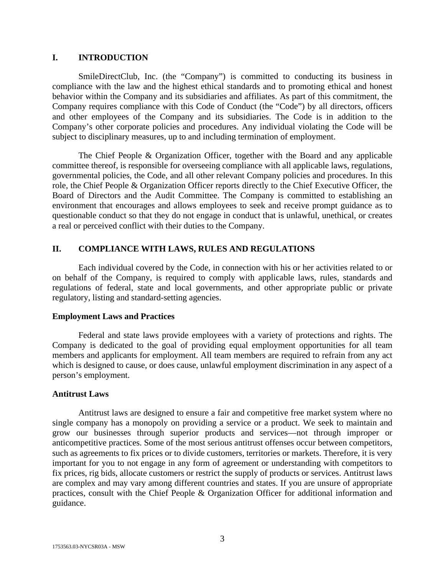## **I. INTRODUCTION**

SmileDirectClub, Inc. (the "Company") is committed to conducting its business in compliance with the law and the highest ethical standards and to promoting ethical and honest behavior within the Company and its subsidiaries and affiliates. As part of this commitment, the Company requires compliance with this Code of Conduct (the "Code") by all directors, officers and other employees of the Company and its subsidiaries. The Code is in addition to the Company's other corporate policies and procedures. Any individual violating the Code will be subject to disciplinary measures, up to and including termination of employment.

The Chief People & Organization Officer, together with the Board and any applicable committee thereof, is responsible for overseeing compliance with all applicable laws, regulations, governmental policies, the Code, and all other relevant Company policies and procedures. In this role, the Chief People & Organization Officer reports directly to the Chief Executive Officer, the Board of Directors and the Audit Committee. The Company is committed to establishing an environment that encourages and allows employees to seek and receive prompt guidance as to questionable conduct so that they do not engage in conduct that is unlawful, unethical, or creates a real or perceived conflict with their duties to the Company.

## **II. COMPLIANCE WITH LAWS, RULES AND REGULATIONS**

Each individual covered by the Code, in connection with his or her activities related to or on behalf of the Company, is required to comply with applicable laws, rules, standards and regulations of federal, state and local governments, and other appropriate public or private regulatory, listing and standard-setting agencies.

#### **Employment Laws and Practices**

Federal and state laws provide employees with a variety of protections and rights. The Company is dedicated to the goal of providing equal employment opportunities for all team members and applicants for employment. All team members are required to refrain from any act which is designed to cause, or does cause, unlawful employment discrimination in any aspect of a person's employment.

## **Antitrust Laws**

Antitrust laws are designed to ensure a fair and competitive free market system where no single company has a monopoly on providing a service or a product. We seek to maintain and grow our businesses through superior products and services—not through improper or anticompetitive practices. Some of the most serious antitrust offenses occur between competitors, such as agreements to fix prices or to divide customers, territories or markets. Therefore, it is very important for you to not engage in any form of agreement or understanding with competitors to fix prices, rig bids, allocate customers or restrict the supply of products or services. Antitrust laws are complex and may vary among different countries and states. If you are unsure of appropriate practices, consult with the Chief People & Organization Officer for additional information and guidance.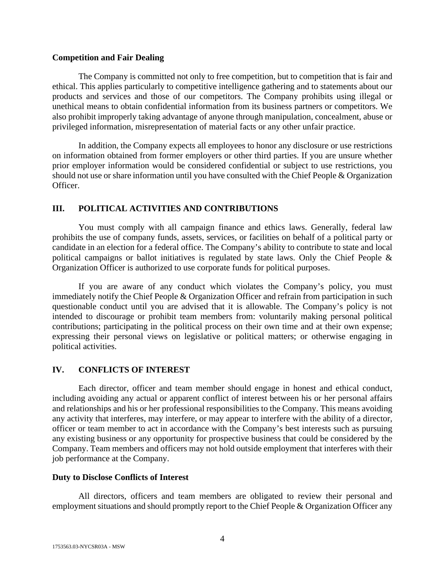## **Competition and Fair Dealing**

The Company is committed not only to free competition, but to competition that is fair and ethical. This applies particularly to competitive intelligence gathering and to statements about our products and services and those of our competitors. The Company prohibits using illegal or unethical means to obtain confidential information from its business partners or competitors. We also prohibit improperly taking advantage of anyone through manipulation, concealment, abuse or privileged information, misrepresentation of material facts or any other unfair practice.

In addition, the Company expects all employees to honor any disclosure or use restrictions on information obtained from former employers or other third parties. If you are unsure whether prior employer information would be considered confidential or subject to use restrictions, you should not use or share information until you have consulted with the Chief People & Organization Officer.

## **III. POLITICAL ACTIVITIES AND CONTRIBUTIONS**

You must comply with all campaign finance and ethics laws. Generally, federal law prohibits the use of company funds, assets, services, or facilities on behalf of a political party or candidate in an election for a federal office. The Company's ability to contribute to state and local political campaigns or ballot initiatives is regulated by state laws. Only the Chief People & Organization Officer is authorized to use corporate funds for political purposes.

If you are aware of any conduct which violates the Company's policy, you must immediately notify the Chief People & Organization Officer and refrain from participation in such questionable conduct until you are advised that it is allowable. The Company's policy is not intended to discourage or prohibit team members from: voluntarily making personal political contributions; participating in the political process on their own time and at their own expense; expressing their personal views on legislative or political matters; or otherwise engaging in political activities.

## **IV. CONFLICTS OF INTEREST**

Each director, officer and team member should engage in honest and ethical conduct, including avoiding any actual or apparent conflict of interest between his or her personal affairs and relationships and his or her professional responsibilities to the Company. This means avoiding any activity that interferes, may interfere, or may appear to interfere with the ability of a director, officer or team member to act in accordance with the Company's best interests such as pursuing any existing business or any opportunity for prospective business that could be considered by the Company. Team members and officers may not hold outside employment that interferes with their job performance at the Company.

## **Duty to Disclose Conflicts of Interest**

All directors, officers and team members are obligated to review their personal and employment situations and should promptly report to the Chief People & Organization Officer any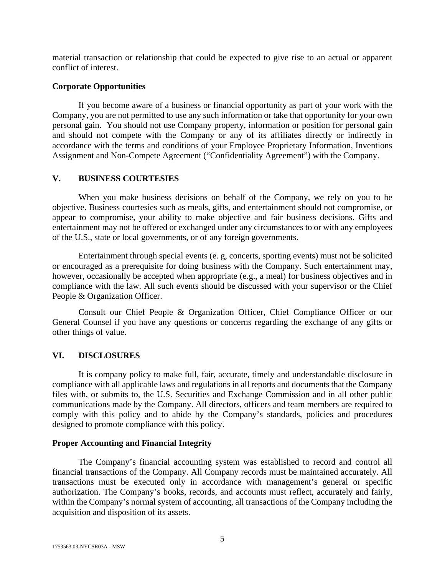material transaction or relationship that could be expected to give rise to an actual or apparent conflict of interest.

## **Corporate Opportunities**

If you become aware of a business or financial opportunity as part of your work with the Company, you are not permitted to use any such information or take that opportunity for your own personal gain. You should not use Company property, information or position for personal gain and should not compete with the Company or any of its affiliates directly or indirectly in accordance with the terms and conditions of your Employee Proprietary Information, Inventions Assignment and Non-Compete Agreement ("Confidentiality Agreement") with the Company.

## **V. BUSINESS COURTESIES**

When you make business decisions on behalf of the Company, we rely on you to be objective. Business courtesies such as meals, gifts, and entertainment should not compromise, or appear to compromise, your ability to make objective and fair business decisions. Gifts and entertainment may not be offered or exchanged under any circumstances to or with any employees of the U.S., state or local governments, or of any foreign governments.

Entertainment through special events (e. g, concerts, sporting events) must not be solicited or encouraged as a prerequisite for doing business with the Company. Such entertainment may, however, occasionally be accepted when appropriate (e.g., a meal) for business objectives and in compliance with the law. All such events should be discussed with your supervisor or the Chief People & Organization Officer.

Consult our Chief People & Organization Officer, Chief Compliance Officer or our General Counsel if you have any questions or concerns regarding the exchange of any gifts or other things of value.

## **VI. DISCLOSURES**

It is company policy to make full, fair, accurate, timely and understandable disclosure in compliance with all applicable laws and regulations in all reports and documents that the Company files with, or submits to, the U.S. Securities and Exchange Commission and in all other public communications made by the Company. All directors, officers and team members are required to comply with this policy and to abide by the Company's standards, policies and procedures designed to promote compliance with this policy.

#### **Proper Accounting and Financial Integrity**

The Company's financial accounting system was established to record and control all financial transactions of the Company. All Company records must be maintained accurately. All transactions must be executed only in accordance with management's general or specific authorization. The Company's books, records, and accounts must reflect, accurately and fairly, within the Company's normal system of accounting, all transactions of the Company including the acquisition and disposition of its assets.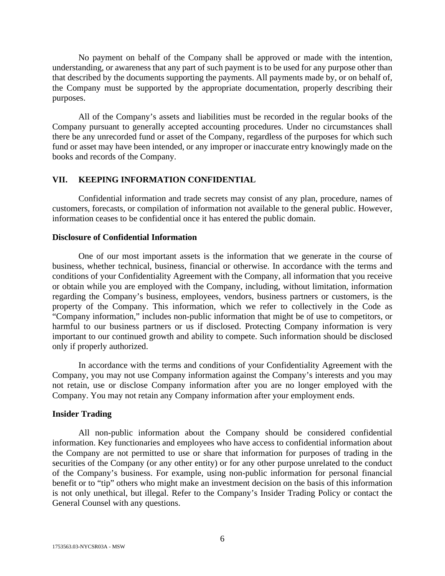No payment on behalf of the Company shall be approved or made with the intention, understanding, or awareness that any part of such payment is to be used for any purpose other than that described by the documents supporting the payments. All payments made by, or on behalf of, the Company must be supported by the appropriate documentation, properly describing their purposes.

All of the Company's assets and liabilities must be recorded in the regular books of the Company pursuant to generally accepted accounting procedures. Under no circumstances shall there be any unrecorded fund or asset of the Company, regardless of the purposes for which such fund or asset may have been intended, or any improper or inaccurate entry knowingly made on the books and records of the Company.

## **VII. KEEPING INFORMATION CONFIDENTIAL**

Confidential information and trade secrets may consist of any plan, procedure, names of customers, forecasts, or compilation of information not available to the general public. However, information ceases to be confidential once it has entered the public domain.

## **Disclosure of Confidential Information**

One of our most important assets is the information that we generate in the course of business, whether technical, business, financial or otherwise. In accordance with the terms and conditions of your Confidentiality Agreement with the Company, all information that you receive or obtain while you are employed with the Company, including, without limitation, information regarding the Company's business, employees, vendors, business partners or customers, is the property of the Company. This information, which we refer to collectively in the Code as "Company information," includes non-public information that might be of use to competitors, or harmful to our business partners or us if disclosed. Protecting Company information is very important to our continued growth and ability to compete. Such information should be disclosed only if properly authorized.

In accordance with the terms and conditions of your Confidentiality Agreement with the Company, you may not use Company information against the Company's interests and you may not retain, use or disclose Company information after you are no longer employed with the Company. You may not retain any Company information after your employment ends.

#### **Insider Trading**

All non-public information about the Company should be considered confidential information. Key functionaries and employees who have access to confidential information about the Company are not permitted to use or share that information for purposes of trading in the securities of the Company (or any other entity) or for any other purpose unrelated to the conduct of the Company's business. For example, using non-public information for personal financial benefit or to "tip" others who might make an investment decision on the basis of this information is not only unethical, but illegal. Refer to the Company's Insider Trading Policy or contact the General Counsel with any questions.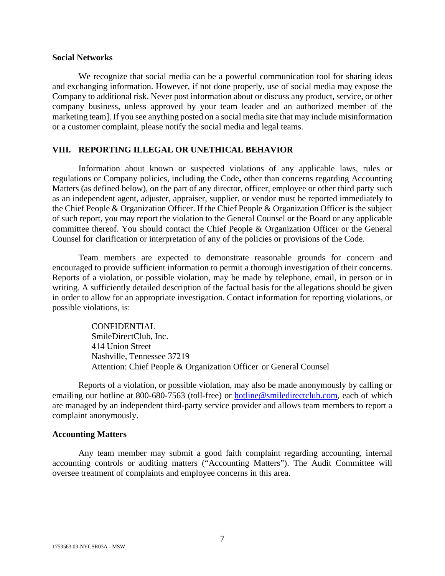#### **Social Networks**

We recognize that social media can be a powerful communication tool for sharing ideas and exchanging information. However, if not done properly, use of social media may expose the Company to additional risk. Never post information about or discuss any product, service, or other company business, unless approved by your team leader and an authorized member of the marketing team]. If you see anything posted on a social media site that may include misinformation or a customer complaint, please notify the social media and legal teams.

#### **VIII. REPORTING ILLEGAL OR UNETHICAL BEHAVIOR**

Information about known or suspected violations of any applicable laws, rules or regulations or Company policies, including the Code**,** other than concerns regarding Accounting Matters (as defined below), on the part of any director, officer, employee or other third party such as an independent agent, adjuster, appraiser, supplier, or vendor must be reported immediately to the Chief People & Organization Officer. If the Chief People & Organization Officer is the subject of such report, you may report the violation to the General Counsel or the Board or any applicable committee thereof. You should contact the Chief People & Organization Officer or the General Counsel for clarification or interpretation of any of the policies or provisions of the Code.

Team members are expected to demonstrate reasonable grounds for concern and encouraged to provide sufficient information to permit a thorough investigation of their concerns. Reports of a violation, or possible violation, may be made by telephone, email, in person or in writing. A sufficiently detailed description of the factual basis for the allegations should be given in order to allow for an appropriate investigation. Contact information for reporting violations, or possible violations, is:

> CONFIDENTIAL SmileDirectClub, Inc. 414 Union Street Nashville, Tennessee 37219 Attention: Chief People & Organization Officer or General Counsel

Reports of a violation, or possible violation, may also be made anonymously by calling or emailing our hotline at 800-680-7563 (toll-free) or [hotline@smiledirectclub.com,](mailto:hotline@smiledirectclub.com) each of which are managed by an independent third-party service provider and allows team members to report a complaint anonymously.

#### **Accounting Matters**

Any team member may submit a good faith complaint regarding accounting, internal accounting controls or auditing matters ("Accounting Matters"). The Audit Committee will oversee treatment of complaints and employee concerns in this area.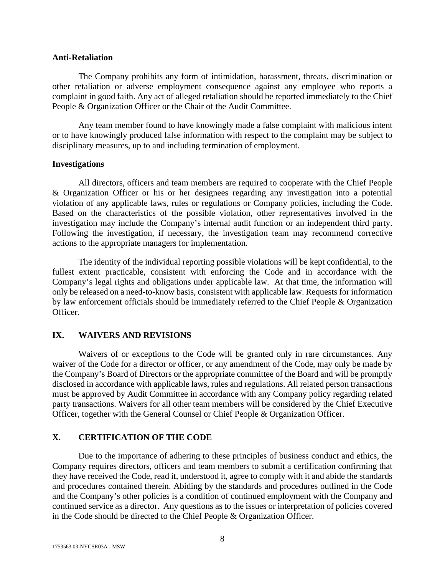#### **Anti-Retaliation**

The Company prohibits any form of intimidation, harassment, threats, discrimination or other retaliation or adverse employment consequence against any employee who reports a complaint in good faith. Any act of alleged retaliation should be reported immediately to the Chief People & Organization Officer or the Chair of the Audit Committee.

Any team member found to have knowingly made a false complaint with malicious intent or to have knowingly produced false information with respect to the complaint may be subject to disciplinary measures, up to and including termination of employment.

## **Investigations**

All directors, officers and team members are required to cooperate with the Chief People & Organization Officer or his or her designees regarding any investigation into a potential violation of any applicable laws, rules or regulations or Company policies, including the Code. Based on the characteristics of the possible violation, other representatives involved in the investigation may include the Company's internal audit function or an independent third party. Following the investigation, if necessary, the investigation team may recommend corrective actions to the appropriate managers for implementation.

The identity of the individual reporting possible violations will be kept confidential, to the fullest extent practicable, consistent with enforcing the Code and in accordance with the Company's legal rights and obligations under applicable law. At that time, the information will only be released on a need-to-know basis, consistent with applicable law. Requests for information by law enforcement officials should be immediately referred to the Chief People & Organization Officer.

## **IX. WAIVERS AND REVISIONS**

Waivers of or exceptions to the Code will be granted only in rare circumstances. Any waiver of the Code for a director or officer, or any amendment of the Code, may only be made by the Company's Board of Directors or the appropriate committee of the Board and will be promptly disclosed in accordance with applicable laws, rules and regulations. All related person transactions must be approved by Audit Committee in accordance with any Company policy regarding related party transactions. Waivers for all other team members will be considered by the Chief Executive Officer, together with the General Counsel or Chief People & Organization Officer.

## **X. CERTIFICATION OF THE CODE**

Due to the importance of adhering to these principles of business conduct and ethics, the Company requires directors, officers and team members to submit a certification confirming that they have received the Code, read it, understood it, agree to comply with it and abide the standards and procedures contained therein. Abiding by the standards and procedures outlined in the Code and the Company's other policies is a condition of continued employment with the Company and continued service as a director. Any questions as to the issues or interpretation of policies covered in the Code should be directed to the Chief People & Organization Officer.